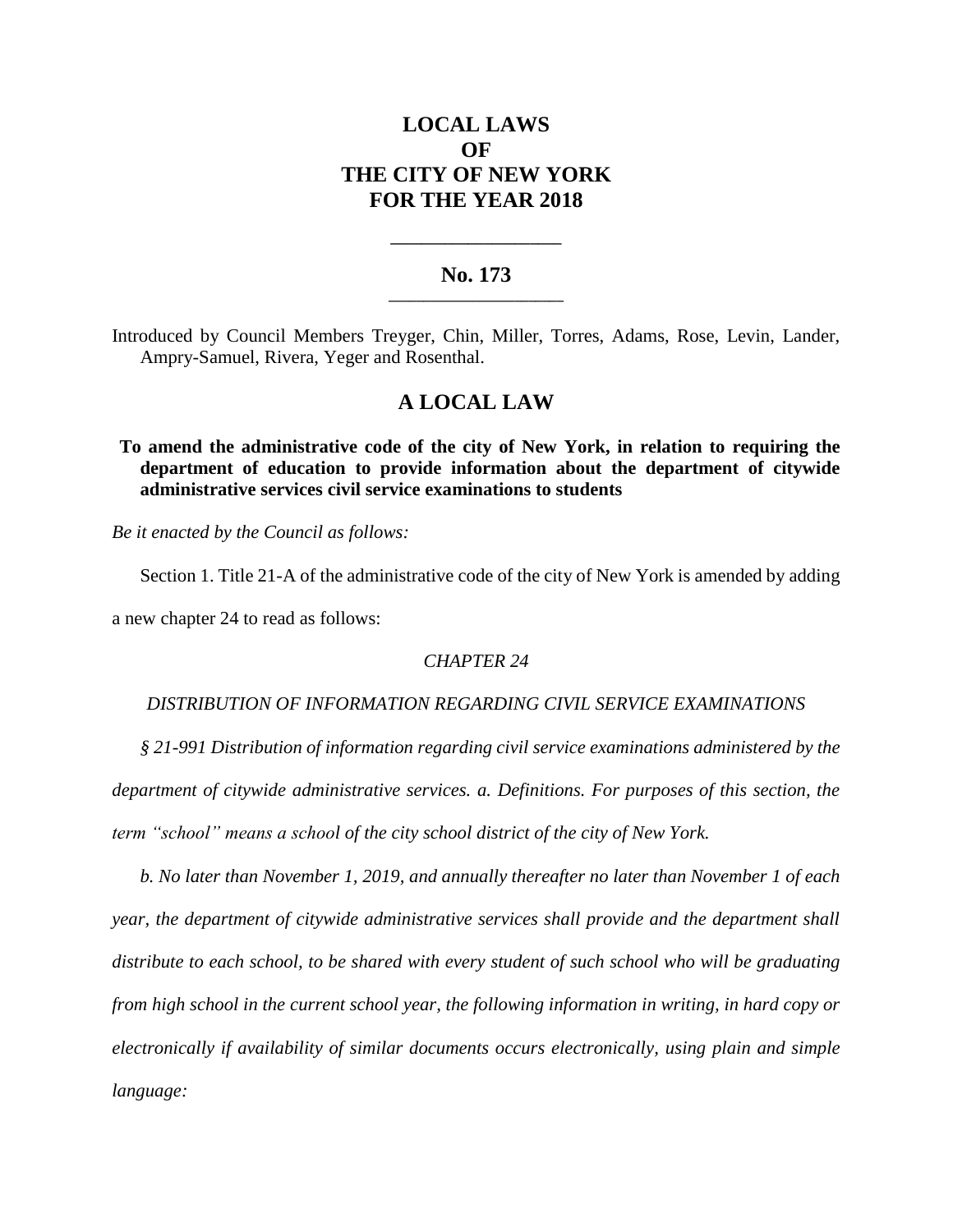# **LOCAL LAWS OF THE CITY OF NEW YORK FOR THE YEAR 2018**

## **No. 173 \_\_\_\_\_\_\_\_\_\_\_\_\_\_\_\_\_\_\_\_\_\_\_\_\_**

**\_\_\_\_\_\_\_\_\_\_\_\_\_\_\_\_\_\_\_\_\_\_**

Introduced by Council Members Treyger, Chin, Miller, Torres, Adams, Rose, Levin, Lander, Ampry-Samuel, Rivera, Yeger and Rosenthal.

## **A LOCAL LAW**

**To amend the administrative code of the city of New York, in relation to requiring the department of education to provide information about the department of citywide administrative services civil service examinations to students**

*Be it enacted by the Council as follows:*

Section 1. Title 21-A of the administrative code of the city of New York is amended by adding a new chapter 24 to read as follows:

*CHAPTER 24*

### *DISTRIBUTION OF INFORMATION REGARDING CIVIL SERVICE EXAMINATIONS*

*§ 21-991 Distribution of information regarding civil service examinations administered by the department of citywide administrative services. a. Definitions. For purposes of this section, the term "school" means a school of the city school district of the city of New York.*

*b. No later than November 1, 2019, and annually thereafter no later than November 1 of each year, the department of citywide administrative services shall provide and the department shall distribute to each school, to be shared with every student of such school who will be graduating from high school in the current school year, the following information in writing, in hard copy or electronically if availability of similar documents occurs electronically, using plain and simple language:*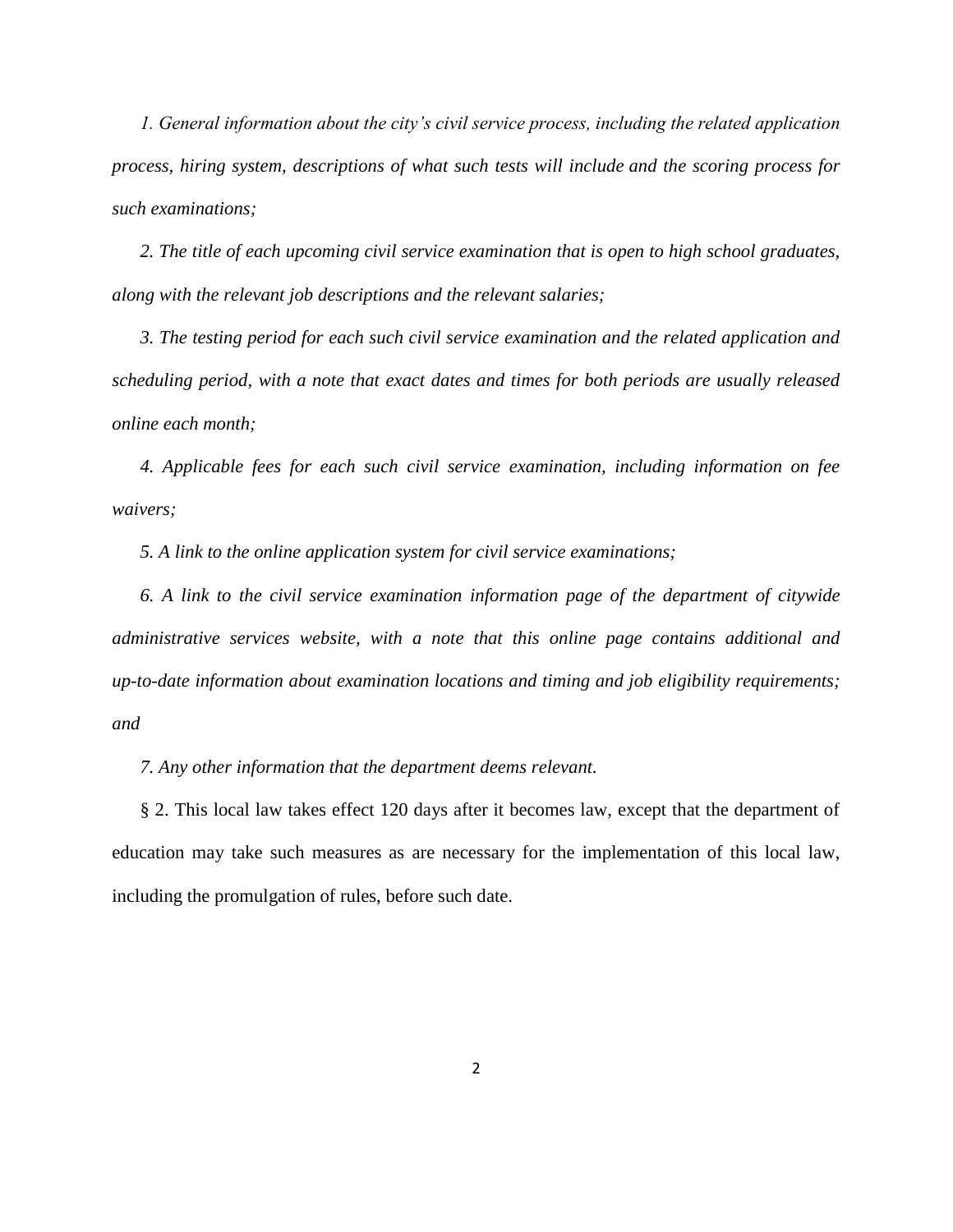*1. General information about the city's civil service process, including the related application process, hiring system, descriptions of what such tests will include and the scoring process for such examinations;*

*2. The title of each upcoming civil service examination that is open to high school graduates, along with the relevant job descriptions and the relevant salaries;*

*3. The testing period for each such civil service examination and the related application and scheduling period, with a note that exact dates and times for both periods are usually released online each month;*

*4. Applicable fees for each such civil service examination, including information on fee waivers;*

*5. A link to the online application system for civil service examinations;*

*6. A link to the civil service examination information page of the department of citywide administrative services website, with a note that this online page contains additional and up-to-date information about examination locations and timing and job eligibility requirements; and*

*7. Any other information that the department deems relevant.*

§ 2. This local law takes effect 120 days after it becomes law, except that the department of education may take such measures as are necessary for the implementation of this local law, including the promulgation of rules, before such date.